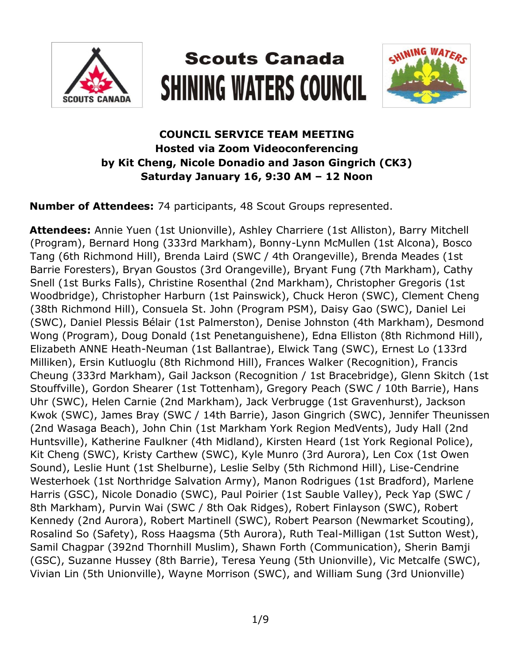

# **Scouts Canada SHINING WATERS COUNCIL**



# **COUNCIL SERVICE TEAM MEETING Hosted via Zoom Videoconferencing by Kit Cheng, Nicole Donadio and Jason Gingrich (CK3) Saturday January 16, 9:30 AM – 12 Noon**

**Number of Attendees:** 74 participants, 48 Scout Groups represented.

**Attendees:** Annie Yuen (1st Unionville), Ashley Charriere (1st Alliston), Barry Mitchell (Program), Bernard Hong (333rd Markham), Bonny-Lynn McMullen (1st Alcona), Bosco Tang (6th Richmond Hill), Brenda Laird (SWC / 4th Orangeville), Brenda Meades (1st Barrie Foresters), Bryan Goustos (3rd Orangeville), Bryant Fung (7th Markham), Cathy Snell (1st Burks Falls), Christine Rosenthal (2nd Markham), Christopher Gregoris (1st Woodbridge), Christopher Harburn (1st Painswick), Chuck Heron (SWC), Clement Cheng (38th Richmond Hill), Consuela St. John (Program PSM), Daisy Gao (SWC), Daniel Lei (SWC), Daniel Plessis Bélair (1st Palmerston), Denise Johnston (4th Markham), Desmond Wong (Program), Doug Donald (1st Penetanguishene), Edna Elliston (8th Richmond Hill), Elizabeth ANNE Heath-Neuman (1st Ballantrae), Elwick Tang (SWC), Ernest Lo (133rd Milliken), Ersin Kutluoglu (8th Richmond Hill), Frances Walker (Recognition), Francis Cheung (333rd Markham), Gail Jackson (Recognition / 1st Bracebridge), Glenn Skitch (1st Stouffville), Gordon Shearer (1st Tottenham), Gregory Peach (SWC / 10th Barrie), Hans Uhr (SWC), Helen Carnie (2nd Markham), Jack Verbrugge (1st Gravenhurst), Jackson Kwok (SWC), James Bray (SWC / 14th Barrie), Jason Gingrich (SWC), Jennifer Theunissen (2nd Wasaga Beach), John Chin (1st Markham York Region MedVents), Judy Hall (2nd Huntsville), Katherine Faulkner (4th Midland), Kirsten Heard (1st York Regional Police), Kit Cheng (SWC), Kristy Carthew (SWC), Kyle Munro (3rd Aurora), Len Cox (1st Owen Sound), Leslie Hunt (1st Shelburne), Leslie Selby (5th Richmond Hill), Lise-Cendrine Westerhoek (1st Northridge Salvation Army), Manon Rodrigues (1st Bradford), Marlene Harris (GSC), Nicole Donadio (SWC), Paul Poirier (1st Sauble Valley), Peck Yap (SWC / 8th Markham), Purvin Wai (SWC / 8th Oak Ridges), Robert Finlayson (SWC), Robert Kennedy (2nd Aurora), Robert Martinell (SWC), Robert Pearson (Newmarket Scouting), Rosalind So (Safety), Ross Haagsma (5th Aurora), Ruth Teal-Milligan (1st Sutton West), Samil Chagpar (392nd Thornhill Muslim), Shawn Forth (Communication), Sherin Bamji (GSC), Suzanne Hussey (8th Barrie), Teresa Yeung (5th Unionville), Vic Metcalfe (SWC), Vivian Lin (5th Unionville), Wayne Morrison (SWC), and William Sung (3rd Unionville)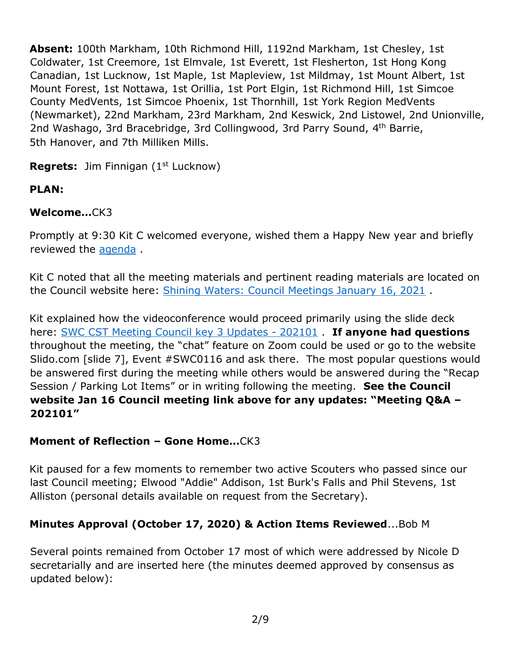**Absent:** 100th Markham, 10th Richmond Hill, 1192nd Markham, 1st Chesley, 1st Coldwater, 1st Creemore, 1st Elmvale, 1st Everett, 1st Flesherton, 1st Hong Kong Canadian, 1st Lucknow, 1st Maple, 1st Mapleview, 1st Mildmay, 1st Mount Albert, 1st Mount Forest, 1st Nottawa, 1st Orillia, 1st Port Elgin, 1st Richmond Hill, 1st Simcoe County MedVents, 1st Simcoe Phoenix, 1st Thornhill, 1st York Region MedVents (Newmarket), 22nd Markham, 23rd Markham, 2nd Keswick, 2nd Listowel, 2nd Unionville, 2nd Washago, 3rd Bracebridge, 3rd Collingwood, 3rd Parry Sound, 4<sup>th</sup> Barrie, 5th Hanover, and 7th Milliken Mills.

**Regrets:** Jim Finnigan (1<sup>st</sup> Lucknow)

# **PLAN:**

## **Welcome…**CK3

Promptly at 9:30 Kit C welcomed everyone, wished them a Happy New year and briefly reviewed the [agenda](https://www.scouts.ca/assets/uploads/councils/shiningwaters/council_meetings/2021-01-16/SWC%20Council%20Service%20Team%20Meeting%20Agenda%20-%20202101.pdf) .

Kit C noted that all the meeting materials and pertinent reading materials are located on the Council website here: [Shining Waters: Council Meetings January 16, 2021](https://www.scouts.ca/councils/central/shining-waters/council-meetings.html) .

Kit explained how the videoconference would proceed primarily using the slide deck here: [SWC CST Meeting Council key 3 Updates -](https://www.scouts.ca/assets/uploads/councils/shiningwaters/council_meetings/2021-01-16/SWC%20CST%20Meeting%20-%20January%2016,%202021.pdf) 202101 . **If anyone had questions** throughout the meeting, the "chat" feature on Zoom could be used or go to the website Slido.com [slide 7], Event #SWC0116 and ask there. The most popular questions would be answered first during the meeting while others would be answered during the "Recap Session / Parking Lot Items" or in writing following the meeting. **See the Council website Jan 16 Council meeting link above for any updates: "Meeting Q&A – 202101"**

# **Moment of Reflection – Gone Home…**CK3

Kit paused for a few moments to remember two active Scouters who passed since our last Council meeting; Elwood "Addie" Addison, 1st Burk's Falls and Phil Stevens, 1st Alliston (personal details available on request from the Secretary).

# **Minutes Approval (October 17, 2020) & Action Items Reviewed**...Bob M

Several points remained from October 17 most of which were addressed by Nicole D secretarially and are inserted here (the minutes deemed approved by consensus as updated below):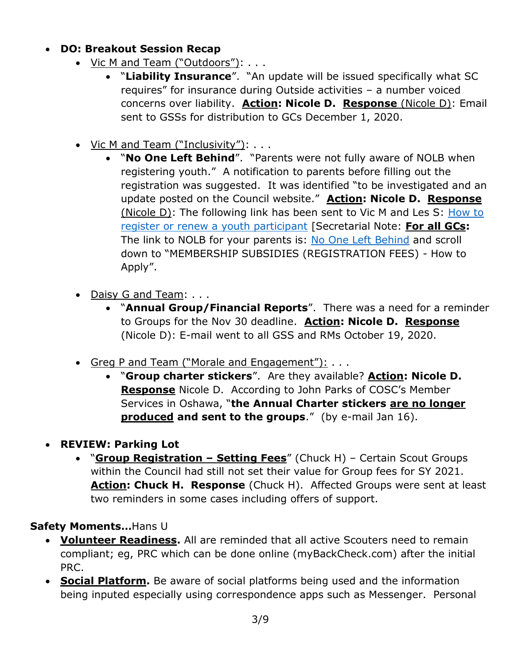- **DO: Breakout Session Recap**
	- Vic M and Team ("Outdoors"): . . .
		- "**Liability Insurance**". "An update will be issued specifically what SC requires" for insurance during Outside activities – a number voiced concerns over liability. **Action: Nicole D. Response** (Nicole D): Email sent to GSSs for distribution to GCs December 1, 2020.
	- Vic M and Team ("Inclusivity"): . . .
		- "**No One Left Behind**". "Parents were not fully aware of NOLB when registering youth." A notification to parents before filling out the registration was suggested. It was identified "to be investigated and an update posted on the Council website." **Action: Nicole D. Response**  (Nicole D): The following link has been sent to Vic M and Les S: [How to](https://help.scouts.ca/hc/en-ca/articles/360000445283-How-to-register-a-1st-time-youth-participant-Step-by-step)  [register or renew a youth participant](https://help.scouts.ca/hc/en-ca/articles/360000445283-How-to-register-a-1st-time-youth-participant-Step-by-step) [Secretarial Note: **For all GCs:**  The link to NOLB for your parents is: [No One Left Behind](https://www.scouts.ca/programs/no-one-left-behind.html) and scroll down to "MEMBERSHIP SUBSIDIES (REGISTRATION FEES) - How to Apply".
	- Daisy G and Team: . . .
		- "**Annual Group/Financial Reports**". There was a need for a reminder to Groups for the Nov 30 deadline. **Action: Nicole D. Response** (Nicole D): E-mail went to all GSS and RMs October 19, 2020.
	- Greg P and Team ("Morale and Engagement"): ...
		- "**Group charter stickers**". Are they available? **Action: Nicole D. Response** Nicole D. According to John Parks of COSC's Member Services in Oshawa, "**the Annual Charter stickers are no longer produced and sent to the groups**." (by e-mail Jan 16).
- **REVIEW: Parking Lot**
	- "**Group Registration – Setting Fees**" (Chuck H) Certain Scout Groups within the Council had still not set their value for Group fees for SY 2021. **Action: Chuck H. Response** (Chuck H). Affected Groups were sent at least two reminders in some cases including offers of support.

#### **Safety Moments…**Hans U

- **Volunteer Readiness.** All are reminded that all active Scouters need to remain compliant; eg, PRC which can be done online (myBackCheck.com) after the initial PRC.
- **Social Platform.** Be aware of social platforms being used and the information being inputed especially using correspondence apps such as Messenger. Personal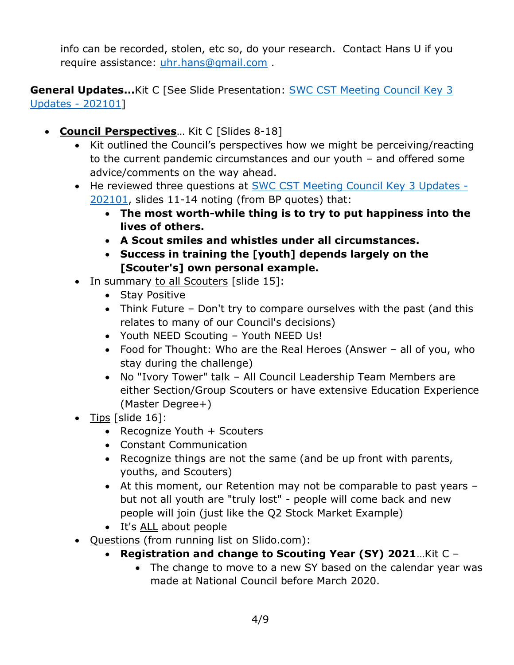info can be recorded, stolen, etc so, do your research. Contact Hans U if you require assistance: [uhr.hans@gmail.com](mailto:uhr.hans@gmail.com) .

**General Updates...**Kit C [See Slide Presentation: **SWC CST Meeting Council Key 3** [Updates -](https://www.scouts.ca/assets/uploads/councils/shiningwaters/council_meetings/2021-01-16/SWC%20CST%20Meeting%20-%20January%2016,%202021.pdf) 202101]

- **Council Perspectives**... Kit C [Slides 8-18]
	- Kit outlined the Council's perspectives how we might be perceiving/reacting to the current pandemic circumstances and our youth – and offered some advice/comments on the way ahead.
	- He reviewed three questions at **SWC CST Meeting Council Key 3 Updates -**[202101,](https://www.scouts.ca/assets/uploads/councils/shiningwaters/council_meetings/2021-01-16/SWC%20CST%20Meeting%20-%20January%2016,%202021.pdf) slides 11-14 noting (from BP quotes) that:
		- **The most worth-while thing is to try to put happiness into the lives of others.**
		- **A Scout smiles and whistles under all circumstances.**
		- **Success in training the [youth] depends largely on the [Scouter's] own personal example.**
	- In summary to all Scouters [slide 15]:
		- Stay Positive
		- Think Future Don't try to compare ourselves with the past (and this relates to many of our Council's decisions)
		- Youth NEED Scouting Youth NEED Us!
		- Food for Thought: Who are the Real Heroes (Answer all of you, who stay during the challenge)
		- No "Ivory Tower" talk All Council Leadership Team Members are either Section/Group Scouters or have extensive Education Experience (Master Degree+)
	- $\bullet$  Tips [slide 16]:
		- Recognize Youth + Scouters
		- Constant Communication
		- Recognize things are not the same (and be up front with parents, youths, and Scouters)
		- At this moment, our Retention may not be comparable to past years but not all youth are "truly lost" - people will come back and new people will join (just like the Q2 Stock Market Example)
		- It's ALL about people
	- Questions (from running list on Slido.com):
		- **Registration and change to Scouting Year (SY) 2021**…Kit C
			- The change to move to a new SY based on the calendar year was made at National Council before March 2020.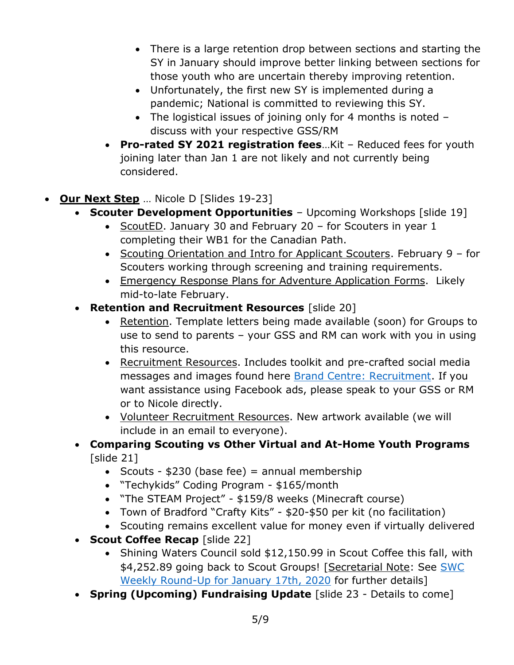- There is a large retention drop between sections and starting the SY in January should improve better linking between sections for those youth who are uncertain thereby improving retention.
- Unfortunately, the first new SY is implemented during a pandemic; National is committed to reviewing this SY.
- The logistical issues of joining only for 4 months is noted discuss with your respective GSS/RM
- **Pro-rated SY 2021 registration fees**…Kit Reduced fees for youth joining later than Jan 1 are not likely and not currently being considered.
- **Our Next Step** … Nicole D [Slides 19-23]
	- **Scouter Development Opportunities** Upcoming Workshops [slide 19]
		- ScoutED. January 30 and February 20 for Scouters in year  $1$ completing their WB1 for the Canadian Path.
		- Scouting Orientation and Intro for Applicant Scouters. February 9 for Scouters working through screening and training requirements.
		- Emergency Response Plans for Adventure Application Forms. Likely mid-to-late February.
	- **Retention and Recruitment Resources** [slide 20]
		- Retention. Template letters being made available (soon) for Groups to use to send to parents – your GSS and RM can work with you in using this resource.
		- Recruitment Resources. Includes toolkit and pre-crafted social media messages and images found here [Brand Centre: Recruitment.](https://www.scouts.ca/resources/brand-centre/recruitment.html) If you want assistance using Facebook ads, please speak to your GSS or RM or to Nicole directly.
		- Volunteer Recruitment Resources. New artwork available (we will include in an email to everyone).
	- **Comparing Scouting vs Other Virtual and At-Home Youth Programs** [slide 21]
		- Scouts  $$230$  (base fee) = annual membership
		- "Techykids" Coding Program \$165/month
		- "The STEAM Project" \$159/8 weeks (Minecraft course)
		- Town of Bradford "Crafty Kits" \$20-\$50 per kit (no facilitation)
		- Scouting remains excellent value for money even if virtually delivered
	- **Scout Coffee Recap** [slide 22]
		- Shining Waters Council sold \$12,150.99 in Scout Coffee this fall, with \$4,252.89 going back to Scout Groups! [Secretarial Note: See SWC [Weekly Round-Up for January 17th, 2020](https://myemail.constantcontact.com/Weekly-Round-Up--Great-Canadian-Scouting-Adventure--Spring-Fundraising-and-More-.html?soid=1129242636205&aid=dYV5PyfrzWU) for further details]
	- **Spring (Upcoming) Fundraising Update** [slide 23 Details to come]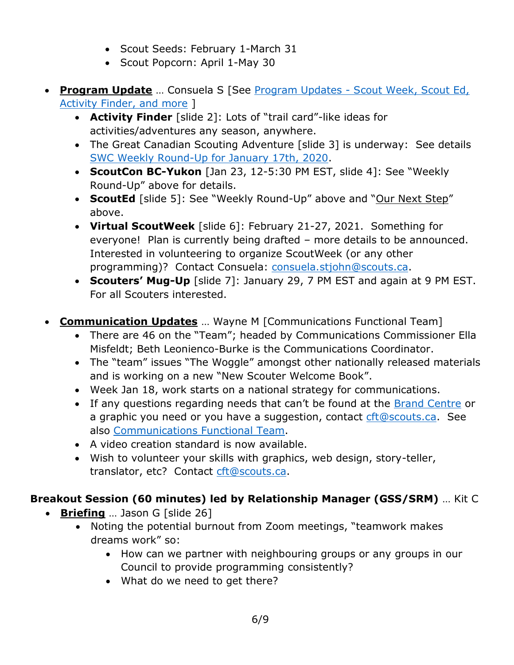- Scout Seeds: February 1-March 31
- Scout Popcorn: April 1-May 30
- **Program Update** … Consuela S [See Program Updates [Scout Week, Scout Ed,](https://www.scouts.ca/assets/uploads/councils/shiningwaters/council_meetings/2021-01-16/SWC%20CST%20Meeting%20-%20Program%20Updates%20Jan%2016,%202021.pdf)  [Activity Finder, and more](https://www.scouts.ca/assets/uploads/councils/shiningwaters/council_meetings/2021-01-16/SWC%20CST%20Meeting%20-%20Program%20Updates%20Jan%2016,%202021.pdf) ]
	- **Activity Finder** [slide 2]: Lots of "trail card"-like ideas for activities/adventures any season, anywhere.
	- The Great Canadian Scouting Adventure [slide 3] is underway: See details [SWC Weekly Round-Up for January 17th, 2020.](https://myemail.constantcontact.com/Weekly-Round-Up--Great-Canadian-Scouting-Adventure--Spring-Fundraising-and-More-.html?soid=1129242636205&aid=dYV5PyfrzWU)
	- **ScoutCon BC-Yukon** [Jan 23, 12-5:30 PM EST, slide 4]: See "Weekly Round-Up" above for details.
	- **ScoutEd** [slide 5]: See "Weekly Round-Up" above and "Our Next Step" above.
	- **Virtual ScoutWeek** [slide 6]: February 21-27, 2021. Something for everyone! Plan is currently being drafted – more details to be announced. Interested in volunteering to organize ScoutWeek (or any other programming)? Contact Consuela: [consuela.stjohn@scouts.ca.](mailto:consuela.stjohn@scouts.ca)
	- **Scouters' Mug-Up** [slide 7]: January 29, 7 PM EST and again at 9 PM EST. For all Scouters interested.
- **Communication Updates** … Wayne M [Communications Functional Team]
	- There are 46 on the "Team"; headed by Communications Commissioner Ella Misfeldt; Beth Leonienco-Burke is the Communications Coordinator.
	- The "team" issues "The Woggle" amongst other nationally released materials and is working on a new "New Scouter Welcome Book".
	- Week Jan 18, work starts on a national strategy for communications.
	- If any questions regarding needs that can't be found at the [Brand Centre](https://www.scouts.ca/resources/brand-centre/overview.html) or a graphic you need or you have a suggestion, contact [cft@scouts.ca.](mailto:cft@scouts.ca) See also [Communications Functional Team.](https://www.scouts.ca/resources/functional-teams/communications-functional-team/)
	- A video creation standard is now available.
	- Wish to volunteer your skills with graphics, web design, story-teller, translator, etc? Contact [cft@scouts.ca.](mailto:cft@scouts.ca)

# **Breakout Session (60 minutes) led by Relationship Manager (GSS/SRM)** … Kit C

- **Briefing** … Jason G [slide 26]
	- Noting the potential burnout from Zoom meetings, "teamwork makes dreams work" so:
		- How can we partner with neighbouring groups or any groups in our Council to provide programming consistently?
		- What do we need to get there?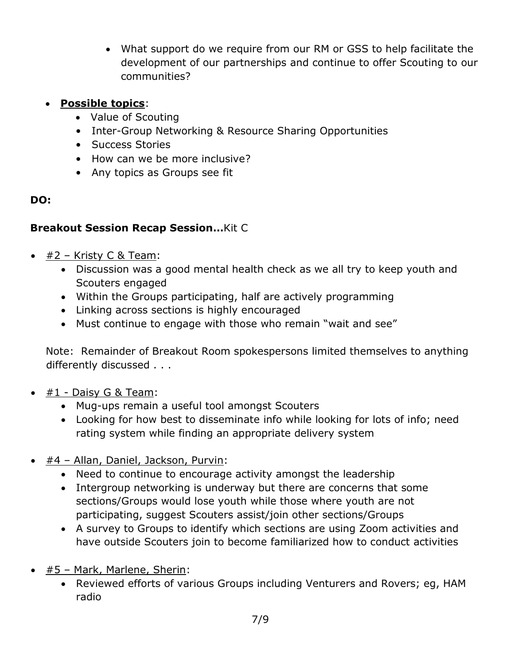- What support do we require from our RM or GSS to help facilitate the development of our partnerships and continue to offer Scouting to our communities?
- **Possible topics**:
	- Value of Scouting
	- Inter-Group Networking & Resource Sharing Opportunities
	- Success Stories
	- How can we be more inclusive?
	- Any topics as Groups see fit

## **DO:**

## **Breakout Session Recap Session…**Kit C

- $\div$  #2 Kristy C & Team:
	- Discussion was a good mental health check as we all try to keep youth and Scouters engaged
	- Within the Groups participating, half are actively programming
	- Linking across sections is highly encouraged
	- Must continue to engage with those who remain "wait and see"

Note: Remainder of Breakout Room spokespersons limited themselves to anything differently discussed . . .

- $\bullet$  #1 Daisy G & Team:
	- Mug-ups remain a useful tool amongst Scouters
	- Looking for how best to disseminate info while looking for lots of info; need rating system while finding an appropriate delivery system
- #4 Allan, Daniel, Jackson, Purvin:
	- Need to continue to encourage activity amongst the leadership
	- Intergroup networking is underway but there are concerns that some sections/Groups would lose youth while those where youth are not participating, suggest Scouters assist/join other sections/Groups
	- A survey to Groups to identify which sections are using Zoom activities and have outside Scouters join to become familiarized how to conduct activities
- #5 Mark, Marlene, Sherin:
	- Reviewed efforts of various Groups including Venturers and Rovers; eg, HAM radio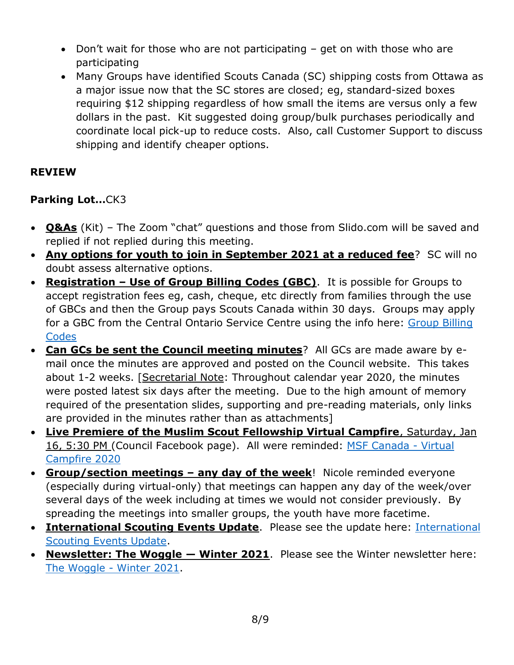- Don't wait for those who are not participating get on with those who are participating
- Many Groups have identified Scouts Canada (SC) shipping costs from Ottawa as a major issue now that the SC stores are closed; eg, standard-sized boxes requiring \$12 shipping regardless of how small the items are versus only a few dollars in the past. Kit suggested doing group/bulk purchases periodically and coordinate local pick-up to reduce costs. Also, call Customer Support to discuss shipping and identify cheaper options.

## **REVIEW**

## **Parking Lot…**CK3

- **Q&As** (Kit) The Zoom "chat" questions and those from Slido.com will be saved and replied if not replied during this meeting.
- **Any options for youth to join in September 2021 at a reduced fee**? SC will no doubt assess alternative options.
- **Registration – Use of Group Billing Codes (GBC)**. It is possible for Groups to accept registration fees eg, cash, cheque, etc directly from families through the use of GBCs and then the Group pays Scouts Canada within 30 days. Groups may apply for a GBC from the Central Ontario Service Centre using the info here: [Group Billing](https://help.scouts.ca/hc/en-ca/articles/115004469723-How-to-Use-Group-Billing-Codes)  [Codes](https://help.scouts.ca/hc/en-ca/articles/115004469723-How-to-Use-Group-Billing-Codes)
- **Can GCs be sent the Council meeting minutes**? All GCs are made aware by email once the minutes are approved and posted on the Council website. This takes about 1-2 weeks. [Secretarial Note: Throughout calendar year 2020, the minutes were posted latest six days after the meeting. Due to the high amount of memory required of the presentation slides, supporting and pre-reading materials, only links are provided in the minutes rather than as attachments]
- **Live Premiere of the Muslim Scout Fellowship Virtual Campfire**, Saturday, Jan 16, 5:30 PM (Council Facebook page). All were reminded: [MSF Canada -](https://www.youtube.com/watch?reload=9&fbclid=IwAR1TBeLW8BvoeRJKC_xhpmHiCvzKDFgsigevR5HZyNrhRza_V21PnRTVzOQ&v=lVmbIMqqZcI&feature=youtu.be) Virtual [Campfire 2020](https://www.youtube.com/watch?reload=9&fbclid=IwAR1TBeLW8BvoeRJKC_xhpmHiCvzKDFgsigevR5HZyNrhRza_V21PnRTVzOQ&v=lVmbIMqqZcI&feature=youtu.be)
- **Group/section meetings – any day of the week**! Nicole reminded everyone (especially during virtual-only) that meetings can happen any day of the week/over several days of the week including at times we would not consider previously. By spreading the meetings into smaller groups, the youth have more facetime.
- **• [International](https://www.scouts.ca/assets/uploads/councils/shiningwaters/council_meetings/2021-01-16/International%20Scouting%20Events%20Updates.pdf) Scouting Events Update**. Please see the update here: International [Scouting Events Update.](https://www.scouts.ca/assets/uploads/councils/shiningwaters/council_meetings/2021-01-16/International%20Scouting%20Events%20Updates.pdf)
- **Newsletter: The Woggle — Winter 2021**. Please see the Winter newsletter here: [The Woggle -](https://www.scouts.ca/news-and-events/newsletter-archives/woggle-winter-2021.html) Winter 2021.